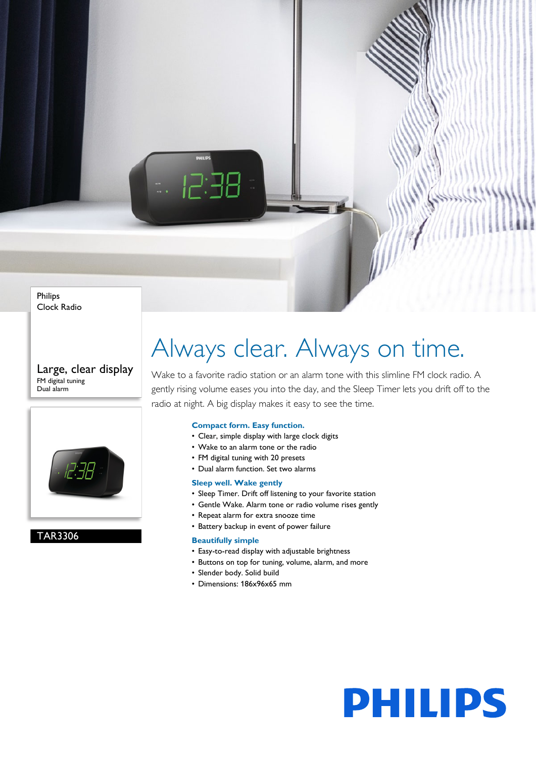Philips Clock Radio

Large, clear display FM digital tuning Dual alarm



TAR3306

## Always clear. Always on time.

Wake to a favorite radio station or an alarm tone with this slimline FM clock radio. A gently rising volume eases you into the day, and the Sleep Timer lets you drift off to the radio at night. A big display makes it easy to see the time.

#### **Compact form. Easy function.**

- Clear, simple display with large clock digits
- Wake to an alarm tone or the radio
- FM digital tuning with 20 presets
- Dual alarm function. Set two alarms

#### **Sleep well. Wake gently**

- Sleep Timer. Drift off listening to your favorite station
- Gentle Wake. Alarm tone or radio volume rises gently
- Repeat alarm for extra snooze time
- Battery backup in event of power failure

#### **Beautifully simple**

- Easy-to-read display with adjustable brightness
- Buttons on top for tuning, volume, alarm, and more
- Slender body. Solid build
- Dimensions: 186x96x65 mm

# **PHILIPS**